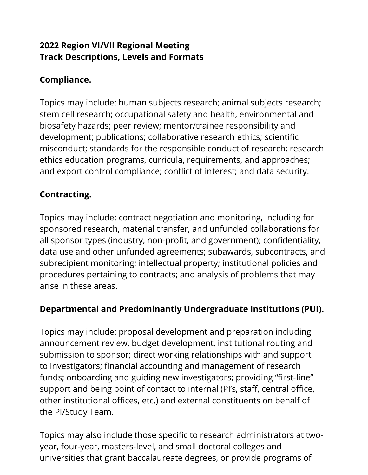#### **2022 Region VI/VII Regional Meeting Track Descriptions, Levels and Formats**

## **Compliance.**

Topics may include: human subjects research; animal subjects research; stem cell research; occupational safety and health, environmental and biosafety hazards; peer review; mentor/trainee responsibility and development; publications; collaborative research ethics; scientific misconduct; standards for the responsible conduct of research; research ethics education programs, curricula, requirements, and approaches; and export control compliance; conflict of interest; and data security.

#### **Contracting.**

Topics may include: contract negotiation and monitoring, including for sponsored research, material transfer, and unfunded collaborations for all sponsor types (industry, non-profit, and government); confidentiality, data use and other unfunded agreements; subawards, subcontracts, and subrecipient monitoring; intellectual property; institutional policies and procedures pertaining to contracts; and analysis of problems that may arise in these areas.

#### **Departmental and Predominantly Undergraduate Institutions (PUI).**

Topics may include: proposal development and preparation including announcement review, budget development, institutional routing and submission to sponsor; direct working relationships with and support to investigators; financial accounting and management of research funds; onboarding and guiding new investigators; providing "first‐line" support and being point of contact to internal (PI's, staff, central office, other institutional offices, etc.) and external constituents on behalf of the PI/Study Team.

Topics may also include those specific to research administrators at two‐ year, four‐year, masters‐level, and small doctoral colleges and universities that grant baccalaureate degrees, or provide programs of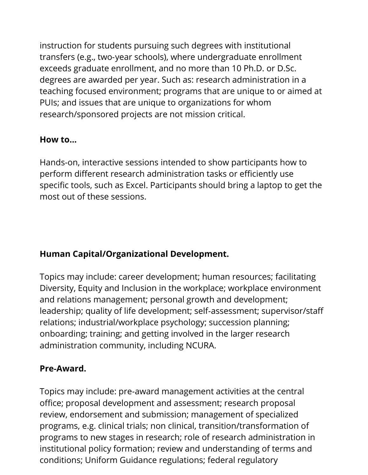instruction for students pursuing such degrees with institutional transfers (e.g., two‐year schools), where undergraduate enrollment exceeds graduate enrollment, and no more than 10 Ph.D. or D.Sc. degrees are awarded per year. Such as: research administration in a teaching focused environment; programs that are unique to or aimed at PUIs; and issues that are unique to organizations for whom research/sponsored projects are not mission critical.

#### **How to...**

Hands-on, interactive sessions intended to show participants how to perform different research administration tasks or efficiently use specific tools, such as Excel. Participants should bring a laptop to get the most out of these sessions.

## **Human Capital/Organizational Development.**

Topics may include: career development; human resources; facilitating Diversity, Equity and Inclusion in the workplace; workplace environment and relations management; personal growth and development; leadership; quality of life development; self‐assessment; supervisor/staff relations; industrial/workplace psychology; succession planning; onboarding; training; and getting involved in the larger research administration community, including NCURA.

## **Pre**‐**Award.**

Topics may include: pre‐award management activities at the central office; proposal development and assessment; research proposal review, endorsement and submission; management of specialized programs, e.g. clinical trials; non clinical, transition/transformation of programs to new stages in research; role of research administration in institutional policy formation; review and understanding of terms and conditions; Uniform Guidance regulations; federal regulatory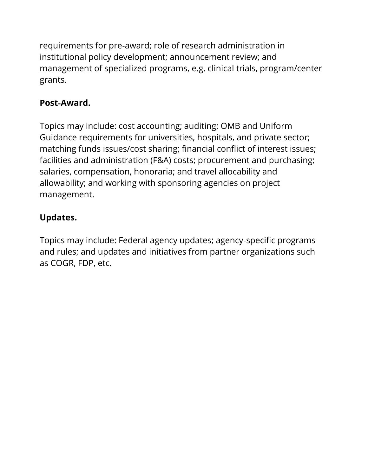requirements for pre‐award; role of research administration in institutional policy development; announcement review; and management of specialized programs, e.g. clinical trials, program/center grants.

### **Post**‐**Award.**

Topics may include: cost accounting; auditing; OMB and Uniform Guidance requirements for universities, hospitals, and private sector; matching funds issues/cost sharing; financial conflict of interest issues; facilities and administration (F&A) costs; procurement and purchasing; salaries, compensation, honoraria; and travel allocability and allowability; and working with sponsoring agencies on project management.

# **Updates.**

Topics may include: Federal agency updates; agency‐specific programs and rules; and updates and initiatives from partner organizations such as COGR, FDP, etc.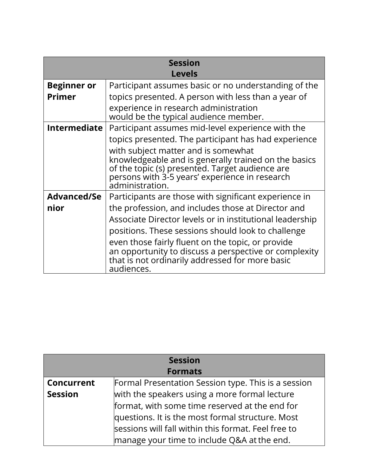| Session             |                                                                                                                                                                                                                     |  |
|---------------------|---------------------------------------------------------------------------------------------------------------------------------------------------------------------------------------------------------------------|--|
| <b>Levels</b>       |                                                                                                                                                                                                                     |  |
| <b>Beginner or</b>  | Participant assumes basic or no understanding of the                                                                                                                                                                |  |
| <b>Primer</b>       | topics presented. A person with less than a year of                                                                                                                                                                 |  |
|                     | experience in research administration<br>would be the typical audience member.                                                                                                                                      |  |
| <b>Intermediate</b> | Participant assumes mid-level experience with the                                                                                                                                                                   |  |
|                     | topics presented. The participant has had experience                                                                                                                                                                |  |
|                     | with subject matter and is somewhat<br>knowledgeable and is generally trained on the basics<br>of the topic (s) presented. Target audience are<br>persons with 3-5 years' experience in research<br>administration. |  |
| <b>Advanced/Se</b>  | Participants are those with significant experience in                                                                                                                                                               |  |
| nior                | the profession, and includes those at Director and                                                                                                                                                                  |  |
|                     | Associate Director levels or in institutional leadership                                                                                                                                                            |  |
|                     | positions. These sessions should look to challenge                                                                                                                                                                  |  |
|                     | even those fairly fluent on the topic, or provide<br>an opportunity to discuss a perspective or complexity<br>that is not ordinarily addressed for more basic<br>audiences.                                         |  |

| <b>Session</b>    |                                                     |  |
|-------------------|-----------------------------------------------------|--|
| <b>Formats</b>    |                                                     |  |
| <b>Concurrent</b> | Formal Presentation Session type. This is a session |  |
| <b>Session</b>    | with the speakers using a more formal lecture       |  |
|                   | format, with some time reserved at the end for      |  |
|                   | questions. It is the most formal structure. Most    |  |
|                   | sessions will fall within this format. Feel free to |  |
|                   | manage your time to include Q&A at the end.         |  |